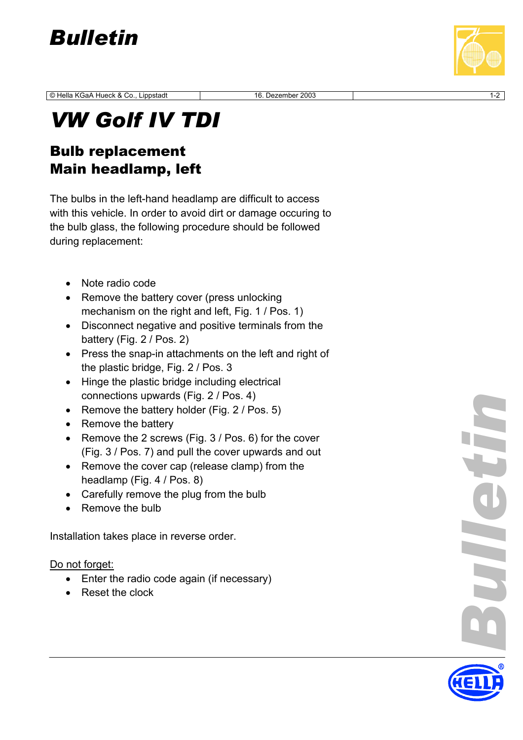

© Hella KGaA Hue ck & Co., Lippstadt 16. Dezember 2003 1-2

## *VW Golf IV TD I*

## Bulb replacement Main headlamp, left

The bulbs in the left-hand headlamp are difficult to access with this vehicle. In order to avoid dirt or damage occuring to the bulb glass, the following procedure should be followed during replacement:

- Note radio code
- Remove the battery cover (press unlocking mechanism on the right and left, Fig. 1 / Pos. 1)
- Disconnect negative and positive terminals from the battery (Fig. 2 / Pos. 2)
- Press the snap-in attachments on the left and right of the plastic bridge, Fig. 2 / Pos. 3
- Hinge the plastic bridge including electrical connections upwards (Fig. 2 / Pos. 4)
- Remove the battery holder (Fig. 2 / Pos. 5)
- Remove the battery
- Remove the 2 screws (Fig. 3 / Pos. 6) for the cover (Fig. 3 / Pos. 7) and pull the cover upwards and out
- Remove the cover cap (release clamp) from the headlamp (Fig. 4 / Pos. 8)
- Carefully remove the plug from the bulb
- Remove the bulb

Installation takes place in reverse order.

Do not forget:

- Enter the radio code again (if necessary)
- Reset the clock